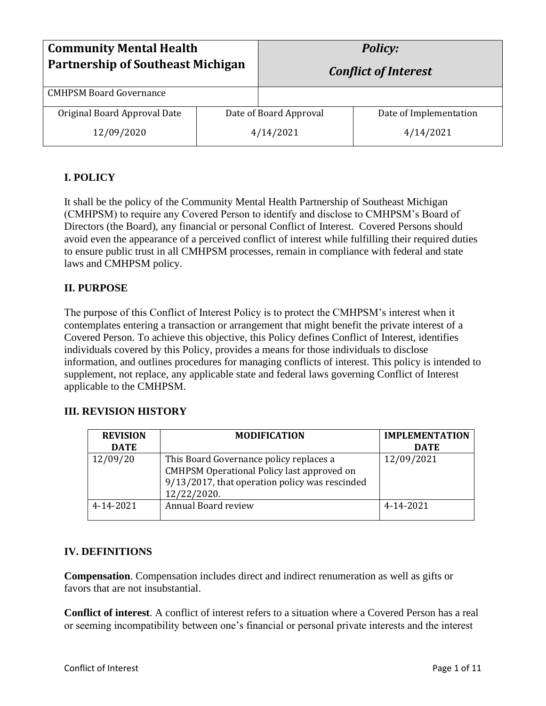| <b>Community Mental Health</b><br><b>Partnership of Southeast Michigan</b> |                        | <b>Policy:</b><br><b>Conflict of Interest</b> |                        |
|----------------------------------------------------------------------------|------------------------|-----------------------------------------------|------------------------|
| <b>CMHPSM Board Governance</b>                                             |                        |                                               |                        |
| Original Board Approval Date                                               | Date of Board Approval |                                               | Date of Implementation |
| 12/09/2020                                                                 | 4/14/2021              |                                               | 4/14/2021              |

## **I. POLICY**

It shall be the policy of the Community Mental Health Partnership of Southeast Michigan (CMHPSM) to require any Covered Person to identify and disclose to CMHPSM's Board of Directors (the Board), any financial or personal Conflict of Interest. Covered Persons should avoid even the appearance of a perceived conflict of interest while fulfilling their required duties to ensure public trust in all CMHPSM processes, remain in compliance with federal and state laws and CMHPSM policy.

### **II. PURPOSE**

The purpose of this Conflict of Interest Policy is to protect the CMHPSM's interest when it contemplates entering a transaction or arrangement that might benefit the private interest of a Covered Person. To achieve this objective, this Policy defines Conflict of Interest, identifies individuals covered by this Policy, provides a means for those individuals to disclose information, and outlines procedures for managing conflicts of interest. This policy is intended to supplement, not replace, any applicable state and federal laws governing Conflict of Interest applicable to the CMHPSM.

### **III. REVISION HISTORY**

| <b>REVISION</b> | <b>MODIFICATION</b>                                                                                                                                    | <b>IMPLEMENTATION</b> |
|-----------------|--------------------------------------------------------------------------------------------------------------------------------------------------------|-----------------------|
| <b>DATE</b>     |                                                                                                                                                        | <b>DATE</b>           |
| 12/09/20        | This Board Governance policy replaces a<br>CMHPSM Operational Policy last approved on<br>9/13/2017, that operation policy was rescinded<br>12/22/2020. | 12/09/2021            |
| 4-14-2021       | Annual Board review                                                                                                                                    | 4-14-2021             |

### **IV. DEFINITIONS**

**Compensation**. Compensation includes direct and indirect renumeration as well as gifts or favors that are not insubstantial.

**Conflict of interest**. A conflict of interest refers to a situation where a Covered Person has a real or seeming incompatibility between one's financial or personal private interests and the interest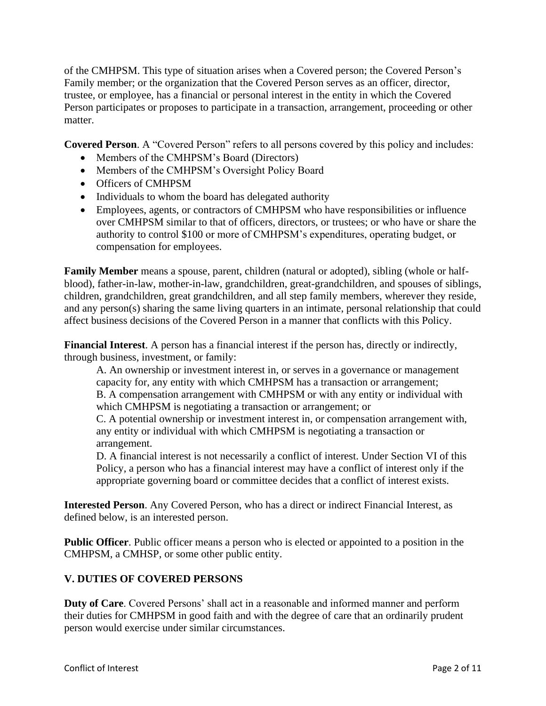of the CMHPSM. This type of situation arises when a Covered person; the Covered Person's Family member; or the organization that the Covered Person serves as an officer, director, trustee, or employee, has a financial or personal interest in the entity in which the Covered Person participates or proposes to participate in a transaction, arrangement, proceeding or other matter.

**Covered Person**. A "Covered Person" refers to all persons covered by this policy and includes:

- Members of the CMHPSM's Board (Directors)
- Members of the CMHPSM's Oversight Policy Board
- Officers of CMHPSM
- Individuals to whom the board has delegated authority
- Employees, agents, or contractors of CMHPSM who have responsibilities or influence over CMHPSM similar to that of officers, directors, or trustees; or who have or share the authority to control \$100 or more of CMHPSM's expenditures, operating budget, or compensation for employees.

**Family Member** means a spouse, parent, children (natural or adopted), sibling (whole or halfblood), father-in-law, mother-in-law, grandchildren, great-grandchildren, and spouses of siblings, children, grandchildren, great grandchildren, and all step family members, wherever they reside, and any person(s) sharing the same living quarters in an intimate, personal relationship that could affect business decisions of the Covered Person in a manner that conflicts with this Policy.

**Financial Interest**. A person has a financial interest if the person has, directly or indirectly, through business, investment, or family:

A. An ownership or investment interest in, or serves in a governance or management capacity for, any entity with which CMHPSM has a transaction or arrangement; B. A compensation arrangement with CMHPSM or with any entity or individual with which CMHPSM is negotiating a transaction or arrangement; or

C. A potential ownership or investment interest in, or compensation arrangement with, any entity or individual with which CMHPSM is negotiating a transaction or arrangement.

D. A financial interest is not necessarily a conflict of interest. Under Section VI of this Policy, a person who has a financial interest may have a conflict of interest only if the appropriate governing board or committee decides that a conflict of interest exists.

**Interested Person**. Any Covered Person, who has a direct or indirect Financial Interest, as defined below, is an interested person.

**Public Officer**. Public officer means a person who is elected or appointed to a position in the CMHPSM, a CMHSP, or some other public entity.

### **V. DUTIES OF COVERED PERSONS**

**Duty of Care**. Covered Persons' shall act in a reasonable and informed manner and perform their duties for CMHPSM in good faith and with the degree of care that an ordinarily prudent person would exercise under similar circumstances.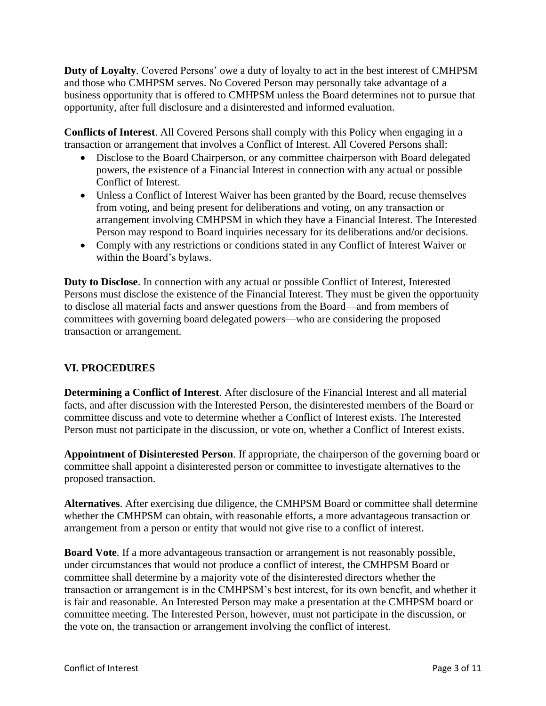**Duty of Loyalty**. Covered Persons' owe a duty of loyalty to act in the best interest of CMHPSM and those who CMHPSM serves. No Covered Person may personally take advantage of a business opportunity that is offered to CMHPSM unless the Board determines not to pursue that opportunity, after full disclosure and a disinterested and informed evaluation.

**Conflicts of Interest**. All Covered Persons shall comply with this Policy when engaging in a transaction or arrangement that involves a Conflict of Interest. All Covered Persons shall:

- Disclose to the Board Chairperson, or any committee chairperson with Board delegated powers, the existence of a Financial Interest in connection with any actual or possible Conflict of Interest.
- Unless a Conflict of Interest Waiver has been granted by the Board, recuse themselves from voting, and being present for deliberations and voting, on any transaction or arrangement involving CMHPSM in which they have a Financial Interest. The Interested Person may respond to Board inquiries necessary for its deliberations and/or decisions.
- Comply with any restrictions or conditions stated in any Conflict of Interest Waiver or within the Board's bylaws.

**Duty to Disclose**. In connection with any actual or possible Conflict of Interest, Interested Persons must disclose the existence of the Financial Interest. They must be given the opportunity to disclose all material facts and answer questions from the Board—and from members of committees with governing board delegated powers—who are considering the proposed transaction or arrangement.

### **VI. PROCEDURES**

**Determining a Conflict of Interest**. After disclosure of the Financial Interest and all material facts, and after discussion with the Interested Person, the disinterested members of the Board or committee discuss and vote to determine whether a Conflict of Interest exists. The Interested Person must not participate in the discussion, or vote on, whether a Conflict of Interest exists.

**Appointment of Disinterested Person**. If appropriate, the chairperson of the governing board or committee shall appoint a disinterested person or committee to investigate alternatives to the proposed transaction.

**Alternatives**. After exercising due diligence, the CMHPSM Board or committee shall determine whether the CMHPSM can obtain, with reasonable efforts, a more advantageous transaction or arrangement from a person or entity that would not give rise to a conflict of interest.

**Board Vote**. If a more advantageous transaction or arrangement is not reasonably possible, under circumstances that would not produce a conflict of interest, the CMHPSM Board or committee shall determine by a majority vote of the disinterested directors whether the transaction or arrangement is in the CMHPSM's best interest, for its own benefit, and whether it is fair and reasonable. An Interested Person may make a presentation at the CMHPSM board or committee meeting. The Interested Person, however, must not participate in the discussion, or the vote on, the transaction or arrangement involving the conflict of interest.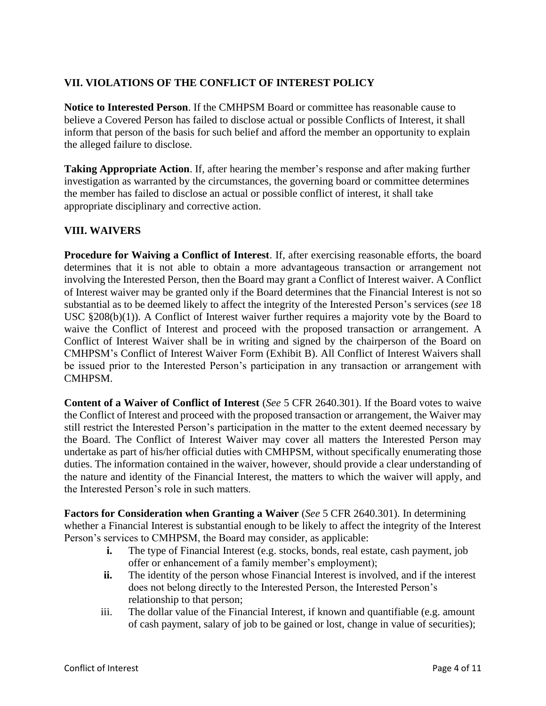### **VII. VIOLATIONS OF THE CONFLICT OF INTEREST POLICY**

**Notice to Interested Person**. If the CMHPSM Board or committee has reasonable cause to believe a Covered Person has failed to disclose actual or possible Conflicts of Interest, it shall inform that person of the basis for such belief and afford the member an opportunity to explain the alleged failure to disclose.

**Taking Appropriate Action**. If, after hearing the member's response and after making further investigation as warranted by the circumstances, the governing board or committee determines the member has failed to disclose an actual or possible conflict of interest, it shall take appropriate disciplinary and corrective action.

## **VIII. WAIVERS**

**Procedure for Waiving a Conflict of Interest**. If, after exercising reasonable efforts, the board determines that it is not able to obtain a more advantageous transaction or arrangement not involving the Interested Person, then the Board may grant a Conflict of Interest waiver. A Conflict of Interest waiver may be granted only if the Board determines that the Financial Interest is not so substantial as to be deemed likely to affect the integrity of the Interested Person's services (*see* 18 USC §208(b)(1)). A Conflict of Interest waiver further requires a majority vote by the Board to waive the Conflict of Interest and proceed with the proposed transaction or arrangement. A Conflict of Interest Waiver shall be in writing and signed by the chairperson of the Board on CMHPSM's Conflict of Interest Waiver Form (Exhibit B). All Conflict of Interest Waivers shall be issued prior to the Interested Person's participation in any transaction or arrangement with CMHPSM.

**Content of a Waiver of Conflict of Interest** (*See* 5 CFR 2640.301). If the Board votes to waive the Conflict of Interest and proceed with the proposed transaction or arrangement, the Waiver may still restrict the Interested Person's participation in the matter to the extent deemed necessary by the Board. The Conflict of Interest Waiver may cover all matters the Interested Person may undertake as part of his/her official duties with CMHPSM, without specifically enumerating those duties. The information contained in the waiver, however, should provide a clear understanding of the nature and identity of the Financial Interest, the matters to which the waiver will apply, and the Interested Person's role in such matters.

**Factors for Consideration when Granting a Waiver** (*See* 5 CFR 2640.301). In determining whether a Financial Interest is substantial enough to be likely to affect the integrity of the Interest Person's services to CMHPSM, the Board may consider, as applicable:

- **i.** The type of Financial Interest (e.g. stocks, bonds, real estate, cash payment, job offer or enhancement of a family member's employment);
- **ii.** The identity of the person whose Financial Interest is involved, and if the interest does not belong directly to the Interested Person, the Interested Person's relationship to that person;
- iii. The dollar value of the Financial Interest, if known and quantifiable (e.g. amount of cash payment, salary of job to be gained or lost, change in value of securities);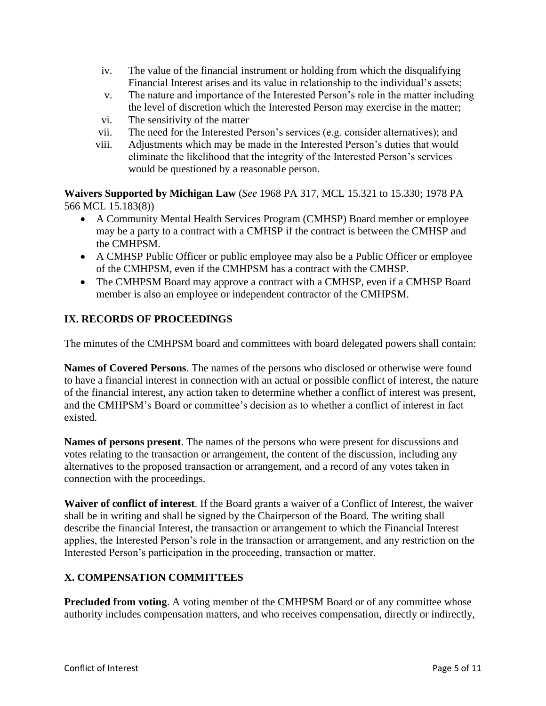- iv. The value of the financial instrument or holding from which the disqualifying Financial Interest arises and its value in relationship to the individual's assets;
- v. The nature and importance of the Interested Person's role in the matter including the level of discretion which the Interested Person may exercise in the matter;
- vi. The sensitivity of the matter
- vii. The need for the Interested Person's services (e.g. consider alternatives); and
- viii. Adjustments which may be made in the Interested Person's duties that would eliminate the likelihood that the integrity of the Interested Person's services would be questioned by a reasonable person.

**Waivers Supported by Michigan Law** (*See* 1968 PA 317, MCL 15.321 to 15.330; 1978 PA 566 MCL 15.183(8))

- A Community Mental Health Services Program (CMHSP) Board member or employee may be a party to a contract with a CMHSP if the contract is between the CMHSP and the CMHPSM.
- A CMHSP Public Officer or public employee may also be a Public Officer or employee of the CMHPSM, even if the CMHPSM has a contract with the CMHSP.
- The CMHPSM Board may approve a contract with a CMHSP, even if a CMHSP Board member is also an employee or independent contractor of the CMHPSM.

## **IX. RECORDS OF PROCEEDINGS**

The minutes of the CMHPSM board and committees with board delegated powers shall contain:

**Names of Covered Persons**. The names of the persons who disclosed or otherwise were found to have a financial interest in connection with an actual or possible conflict of interest, the nature of the financial interest, any action taken to determine whether a conflict of interest was present, and the CMHPSM's Board or committee's decision as to whether a conflict of interest in fact existed.

**Names of persons present**. The names of the persons who were present for discussions and votes relating to the transaction or arrangement, the content of the discussion, including any alternatives to the proposed transaction or arrangement, and a record of any votes taken in connection with the proceedings.

**Waiver of conflict of interest**. If the Board grants a waiver of a Conflict of Interest, the waiver shall be in writing and shall be signed by the Chairperson of the Board. The writing shall describe the financial Interest, the transaction or arrangement to which the Financial Interest applies, the Interested Person's role in the transaction or arrangement, and any restriction on the Interested Person's participation in the proceeding, transaction or matter.

### **X. COMPENSATION COMMITTEES**

**Precluded from voting**. A voting member of the CMHPSM Board or of any committee whose authority includes compensation matters, and who receives compensation, directly or indirectly,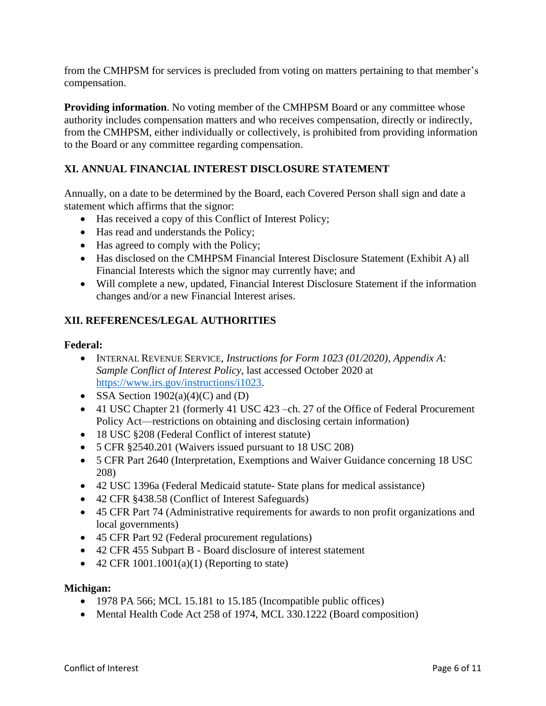from the CMHPSM for services is precluded from voting on matters pertaining to that member's compensation.

**Providing information**. No voting member of the CMHPSM Board or any committee whose authority includes compensation matters and who receives compensation, directly or indirectly, from the CMHPSM, either individually or collectively, is prohibited from providing information to the Board or any committee regarding compensation.

## **XI. ANNUAL FINANCIAL INTEREST DISCLOSURE STATEMENT**

Annually, on a date to be determined by the Board, each Covered Person shall sign and date a statement which affirms that the signor:

- Has received a copy of this Conflict of Interest Policy;
- Has read and understands the Policy;
- Has agreed to comply with the Policy;
- Has disclosed on the CMHPSM Financial Interest Disclosure Statement (Exhibit A) all Financial Interests which the signor may currently have; and
- Will complete a new, updated, Financial Interest Disclosure Statement if the information changes and/or a new Financial Interest arises.

#### **XII. REFERENCES/LEGAL AUTHORITIES**

#### **Federal:**

- INTERNAL REVENUE SERVICE, *Instructions for Form 1023 (01/2020), Appendix A: Sample Conflict of Interest Policy*, last accessed October 2020 at [https://www.irs.gov/instructions/i1023.](https://www.irs.gov/instructions/i1023)
- SSA Section  $1902(a)(4)(C)$  and  $(D)$
- 41 USC Chapter 21 (formerly 41 USC 423 –ch. 27 of the Office of Federal Procurement Policy Act—restrictions on obtaining and disclosing certain information)
- 18 USC §208 (Federal Conflict of interest statute)
- 5 CFR §2540.201 (Waivers issued pursuant to 18 USC 208)
- 5 CFR Part 2640 (Interpretation, Exemptions and Waiver Guidance concerning 18 USC 208)
- 42 USC 1396a (Federal Medicaid statute- State plans for medical assistance)
- 42 CFR §438.58 (Conflict of Interest Safeguards)
- 45 CFR Part 74 (Administrative requirements for awards to non profit organizations and local governments)
- 45 CFR Part 92 (Federal procurement regulations)
- 42 CFR 455 Subpart B Board disclosure of interest statement
- 42 CFR  $1001.1001(a)(1)$  (Reporting to state)

#### **Michigan:**

- 1978 PA 566; MCL 15.181 to 15.185 (Incompatible public offices)
- Mental Health Code Act 258 of 1974, MCL 330.1222 (Board composition)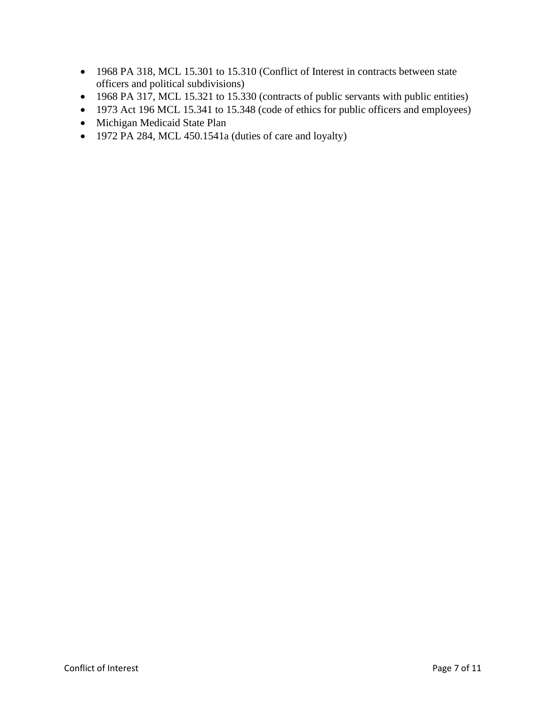- 1968 PA 318, MCL 15.301 to 15.310 (Conflict of Interest in contracts between state officers and political subdivisions)
- 1968 PA 317, MCL 15.321 to 15.330 (contracts of public servants with public entities)
- 1973 Act 196 MCL 15.341 to 15.348 (code of ethics for public officers and employees)
- Michigan Medicaid State Plan
- 1972 PA 284, MCL 450.1541a (duties of care and loyalty)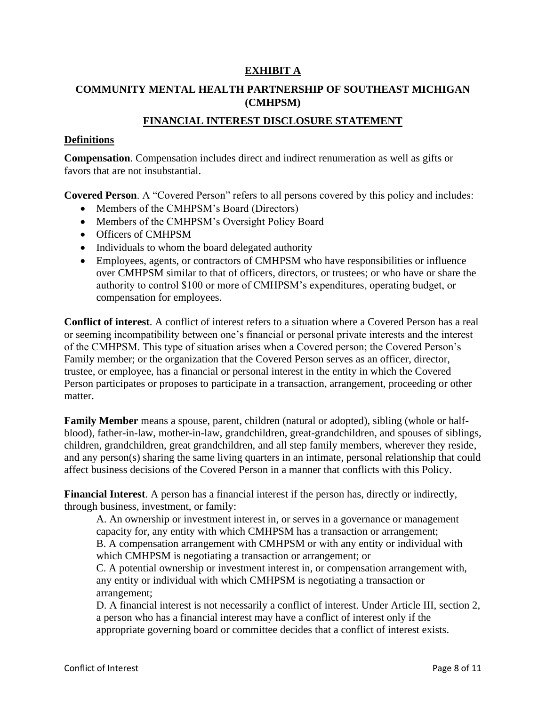#### **EXHIBIT A**

## **COMMUNITY MENTAL HEALTH PARTNERSHIP OF SOUTHEAST MICHIGAN (CMHPSM)**

#### **FINANCIAL INTEREST DISCLOSURE STATEMENT**

#### **Definitions**

**Compensation**. Compensation includes direct and indirect renumeration as well as gifts or favors that are not insubstantial.

**Covered Person**. A "Covered Person" refers to all persons covered by this policy and includes:

- Members of the CMHPSM's Board (Directors)
- Members of the CMHPSM's Oversight Policy Board
- Officers of CMHPSM
- Individuals to whom the board delegated authority
- Employees, agents, or contractors of CMHPSM who have responsibilities or influence over CMHPSM similar to that of officers, directors, or trustees; or who have or share the authority to control \$100 or more of CMHPSM's expenditures, operating budget, or compensation for employees.

**Conflict of interest**. A conflict of interest refers to a situation where a Covered Person has a real or seeming incompatibility between one's financial or personal private interests and the interest of the CMHPSM. This type of situation arises when a Covered person; the Covered Person's Family member; or the organization that the Covered Person serves as an officer, director, trustee, or employee, has a financial or personal interest in the entity in which the Covered Person participates or proposes to participate in a transaction, arrangement, proceeding or other matter.

**Family Member** means a spouse, parent, children (natural or adopted), sibling (whole or halfblood), father-in-law, mother-in-law, grandchildren, great-grandchildren, and spouses of siblings, children, grandchildren, great grandchildren, and all step family members, wherever they reside, and any person(s) sharing the same living quarters in an intimate, personal relationship that could affect business decisions of the Covered Person in a manner that conflicts with this Policy.

**Financial Interest**. A person has a financial interest if the person has, directly or indirectly, through business, investment, or family:

A. An ownership or investment interest in, or serves in a governance or management capacity for, any entity with which CMHPSM has a transaction or arrangement; B. A compensation arrangement with CMHPSM or with any entity or individual with which CMHPSM is negotiating a transaction or arrangement; or

C. A potential ownership or investment interest in, or compensation arrangement with, any entity or individual with which CMHPSM is negotiating a transaction or arrangement;

D. A financial interest is not necessarily a conflict of interest. Under Article III, section 2, a person who has a financial interest may have a conflict of interest only if the appropriate governing board or committee decides that a conflict of interest exists.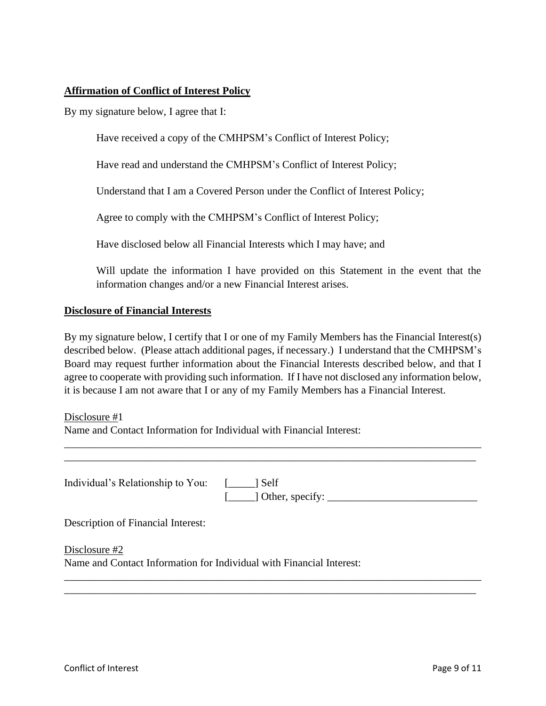#### **Affirmation of Conflict of Interest Policy**

By my signature below, I agree that I:

Have received a copy of the CMHPSM's Conflict of Interest Policy;

Have read and understand the CMHPSM's Conflict of Interest Policy;

Understand that I am a Covered Person under the Conflict of Interest Policy;

Agree to comply with the CMHPSM's Conflict of Interest Policy;

Have disclosed below all Financial Interests which I may have; and

Will update the information I have provided on this Statement in the event that the information changes and/or a new Financial Interest arises.

#### **Disclosure of Financial Interests**

By my signature below, I certify that I or one of my Family Members has the Financial Interest(s) described below. (Please attach additional pages, if necessary.) I understand that the CMHPSM's Board may request further information about the Financial Interests described below, and that I agree to cooperate with providing such information. If I have not disclosed any information below, it is because I am not aware that I or any of my Family Members has a Financial Interest.

Disclosure #1

Name and Contact Information for Individual with Financial Interest:

| Individual's Relationship to You: [____] Self |                           |
|-----------------------------------------------|---------------------------|
|                                               | $[\_\_\]$ Other, specify: |

\_\_\_\_\_\_\_\_\_\_\_\_\_\_\_\_\_\_\_\_\_\_\_\_\_\_\_\_\_\_\_\_\_\_\_\_\_\_\_\_\_\_\_\_\_\_\_\_\_\_\_\_\_\_\_\_\_\_\_\_\_\_\_\_\_\_\_\_\_\_\_\_\_\_\_\_\_\_ \_\_\_\_\_\_\_\_\_\_\_\_\_\_\_\_\_\_\_\_\_\_\_\_\_\_\_\_\_\_\_\_\_\_\_\_\_\_\_\_\_\_\_\_\_\_\_\_\_\_\_\_\_\_\_\_\_\_\_\_\_\_\_\_\_\_\_\_\_\_\_\_\_\_\_\_\_

\_\_\_\_\_\_\_\_\_\_\_\_\_\_\_\_\_\_\_\_\_\_\_\_\_\_\_\_\_\_\_\_\_\_\_\_\_\_\_\_\_\_\_\_\_\_\_\_\_\_\_\_\_\_\_\_\_\_\_\_\_\_\_\_\_\_\_\_\_\_\_\_\_\_\_\_\_\_ \_\_\_\_\_\_\_\_\_\_\_\_\_\_\_\_\_\_\_\_\_\_\_\_\_\_\_\_\_\_\_\_\_\_\_\_\_\_\_\_\_\_\_\_\_\_\_\_\_\_\_\_\_\_\_\_\_\_\_\_\_\_\_\_\_\_\_\_\_\_\_\_\_\_\_\_\_

Description of Financial Interest:

Disclosure #2

Name and Contact Information for Individual with Financial Interest: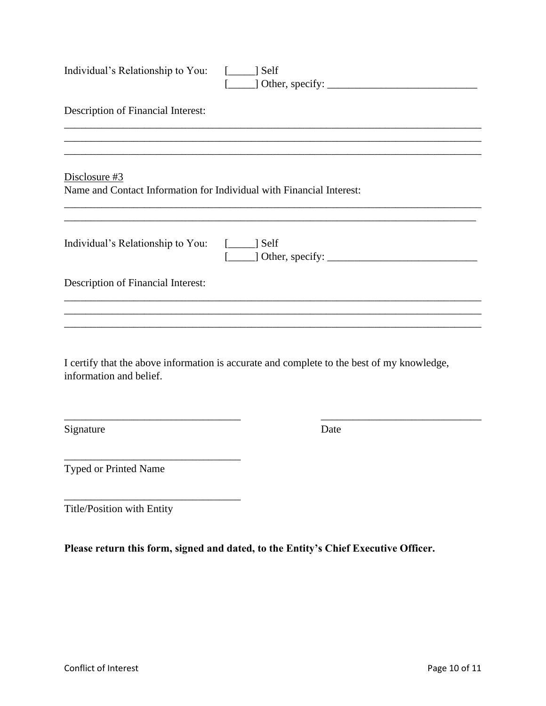| Individual's Relationship to You: [____] Self                                         |                                                                                            |
|---------------------------------------------------------------------------------------|--------------------------------------------------------------------------------------------|
| Description of Financial Interest:                                                    |                                                                                            |
|                                                                                       |                                                                                            |
| Disclosure #3<br>Name and Contact Information for Individual with Financial Interest: |                                                                                            |
| Individual's Relationship to You: [____] Self                                         |                                                                                            |
| Description of Financial Interest:                                                    |                                                                                            |
|                                                                                       |                                                                                            |
| information and belief.                                                               | I certify that the above information is accurate and complete to the best of my knowledge, |
| Signature                                                                             | Date                                                                                       |
| Typed or Printed Name                                                                 |                                                                                            |
| Title/Position with Entity                                                            |                                                                                            |
|                                                                                       | Please return this form, signed and dated, to the Entity's Chief Executive Officer.        |